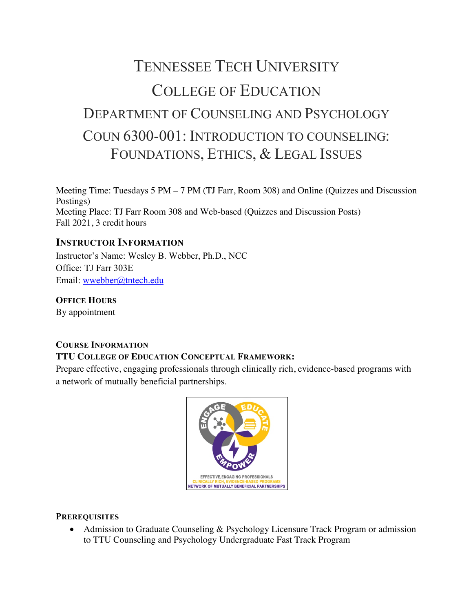# TENNESSEE TECH UNIVERSITY COLLEGE OF EDUCATION DEPARTMENT OF COUNSELING AND PSYCHOLOGY COUN 6300-001: INTRODUCTION TO COUNSELING: FOUNDATIONS, ETHICS, & LEGAL ISSUES

Meeting Time: Tuesdays 5 PM – 7 PM (TJ Farr, Room 308) and Online (Quizzes and Discussion Postings) Meeting Place: TJ Farr Room 308 and Web-based (Quizzes and Discussion Posts) Fall 2021, 3 credit hours

## **INSTRUCTOR INFORMATION**

Instructor's Name: Wesley B. Webber, Ph.D., NCC Office: TJ Farr 303E Email: wwebber@tntech.edu

**OFFICE HOURS** By appointment

# **COURSE INFORMATION TTU COLLEGE OF EDUCATION CONCEPTUAL FRAMEWORK:**

Prepare effective, engaging professionals through clinically rich, evidence-based programs with a network of mutually beneficial partnerships.



## **PREREQUISITES**

• Admission to Graduate Counseling & Psychology Licensure Track Program or admission to TTU Counseling and Psychology Undergraduate Fast Track Program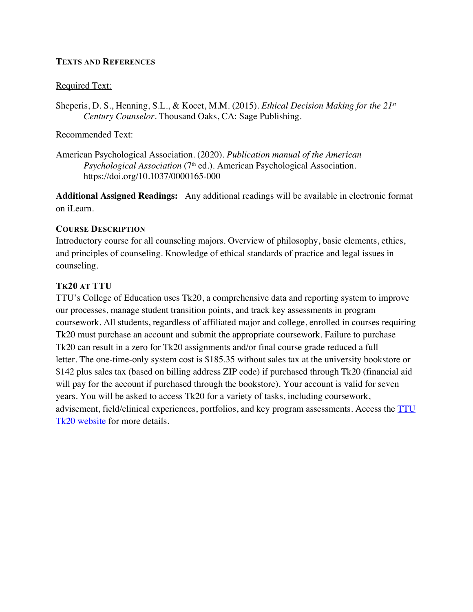#### **TEXTS AND REFERENCES**

#### Required Text:

Sheperis, D. S., Henning, S.L., & Kocet, M.M. (2015). *Ethical Decision Making for the 21st Century Counselor.* Thousand Oaks, CA: Sage Publishing.

#### Recommended Text:

American Psychological Association. (2020). *Publication manual of the American Psychological Association* (7th ed.). American Psychological Association. https://doi.org/10.1037/0000165-000

**Additional Assigned Readings:**  Any additional readings will be available in electronic format on iLearn.

#### **COURSE DESCRIPTION**

Introductory course for all counseling majors. Overview of philosophy, basic elements, ethics, and principles of counseling. Knowledge of ethical standards of practice and legal issues in counseling.

## **TK20 AT TTU**

TTU's College of Education uses Tk20, a comprehensive data and reporting system to improve our processes, manage student transition points, and track key assessments in program coursework. All students, regardless of affiliated major and college, enrolled in courses requiring Tk20 must purchase an account and submit the appropriate coursework. Failure to purchase Tk20 can result in a zero for Tk20 assignments and/or final course grade reduced a full letter. The one-time-only system cost is \$185.35 without sales tax at the university bookstore or \$142 plus sales tax (based on billing address ZIP code) if purchased through Tk20 (financial aid will pay for the account if purchased through the bookstore). Your account is valid for seven years. You will be asked to access Tk20 for a variety of tasks, including coursework, advisement, field/clinical experiences, portfolios, and key program assessments. Access the TTU Tk20 website for more details.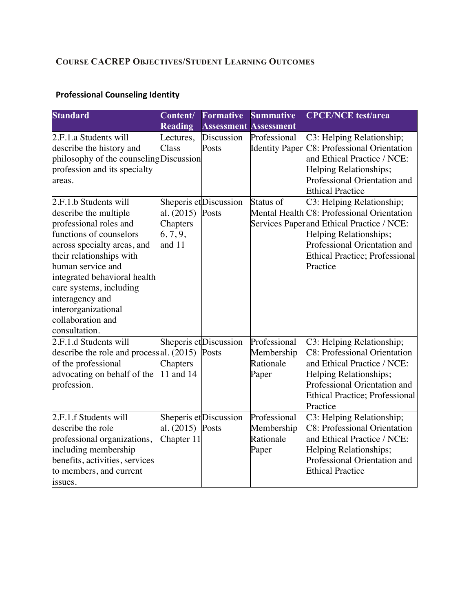# **COURSE CACREP OBJECTIVES/STUDENT LEARNING OUTCOMES**

# **Professional Counseling Identity**

| <b>Standard</b>                                                                                                                                                                                                                                                                                                                                                                                                                    | Content/                                                           | <b>Formative</b>                                       | <b>Summative</b>                                 | <b>CPCE/NCE</b> test/area                                                                                                                                                                                                                                                                                                                                                                                                           |
|------------------------------------------------------------------------------------------------------------------------------------------------------------------------------------------------------------------------------------------------------------------------------------------------------------------------------------------------------------------------------------------------------------------------------------|--------------------------------------------------------------------|--------------------------------------------------------|--------------------------------------------------|-------------------------------------------------------------------------------------------------------------------------------------------------------------------------------------------------------------------------------------------------------------------------------------------------------------------------------------------------------------------------------------------------------------------------------------|
|                                                                                                                                                                                                                                                                                                                                                                                                                                    | <b>Reading</b>                                                     | <b>Assessment Assessment</b>                           |                                                  |                                                                                                                                                                                                                                                                                                                                                                                                                                     |
| 2.F.1.a Students will<br>describe the history and<br>philosophy of the counseling Discussion<br>profession and its specialty<br>areas.<br>2.F.1.b Students will<br>describe the multiple<br>professional roles and<br>functions of counselors<br>across specialty areas, and<br>their relationships with<br>human service and<br>integrated behavioral health<br>care systems, including<br>interagency and<br>interorganizational | Lectures,<br>Class<br>al. (2015)<br>Chapters<br>6, 7, 9,<br>and 11 | Discussion<br>Posts<br>Sheperis et Discussion<br>Posts | Professional<br>Status of                        | C3: Helping Relationship;<br>Identity Paper C8: Professional Orientation<br>and Ethical Practice / NCE:<br>Helping Relationships;<br>Professional Orientation and<br><b>Ethical Practice</b><br>C3: Helping Relationship;<br>Mental Health C8: Professional Orientation<br>Services Paperand Ethical Practice / NCE:<br>Helping Relationships;<br>Professional Orientation and<br><b>Ethical Practice; Professional</b><br>Practice |
| collaboration and<br>consultation.<br>2.F.1.d Students will<br>describe the role and process al. $(2015)$<br>of the professional<br>advocating on behalf of the<br>profession.                                                                                                                                                                                                                                                     | Chapters<br>11 and 14                                              | Sheperis etDiscussion<br>Posts                         | Professional<br>Membership<br>Rationale<br>Paper | C3: Helping Relationship;<br><b>C8: Professional Orientation</b><br>and Ethical Practice / NCE:<br>Helping Relationships;<br>Professional Orientation and<br><b>Ethical Practice; Professional</b><br>Practice                                                                                                                                                                                                                      |
| 2.F.1.f Students will<br>describe the role<br>professional organizations,<br>including membership<br>benefits, activities, services<br>to members, and current<br>issues.                                                                                                                                                                                                                                                          | al. (2015) Posts<br>Chapter 11                                     | Sheperis etDiscussion                                  | Professional<br>Membership<br>Rationale<br>Paper | C3: Helping Relationship;<br><b>C8: Professional Orientation</b><br>and Ethical Practice / NCE:<br>Helping Relationships;<br>Professional Orientation and<br><b>Ethical Practice</b>                                                                                                                                                                                                                                                |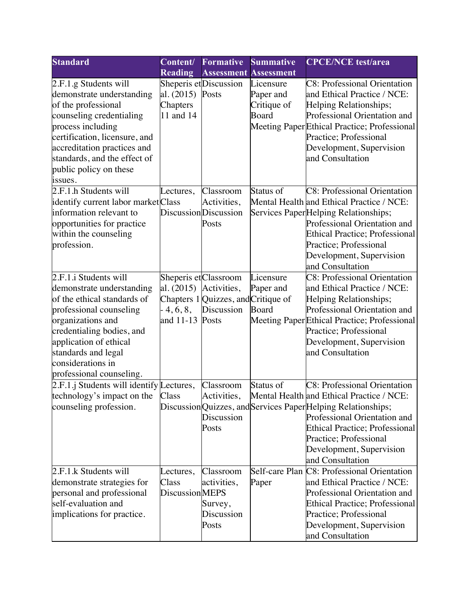| <b>Standard</b>                                                                                                                                                                                                                                                  | Content/                                                     | <b>Formative</b>                                                          | <b>Summative</b>                                      | <b>CPCE/NCE</b> test/area                                                                                                                                                                                                                                                                             |
|------------------------------------------------------------------------------------------------------------------------------------------------------------------------------------------------------------------------------------------------------------------|--------------------------------------------------------------|---------------------------------------------------------------------------|-------------------------------------------------------|-------------------------------------------------------------------------------------------------------------------------------------------------------------------------------------------------------------------------------------------------------------------------------------------------------|
|                                                                                                                                                                                                                                                                  | <b>Reading</b>                                               | <b>Assessment</b>                                                         | <b>Assessment</b>                                     |                                                                                                                                                                                                                                                                                                       |
| 2.F.1.g Students will<br>demonstrate understanding<br>of the professional<br>counseling credentialing<br>process including<br>certification, licensure, and<br>accreditation practices and<br>standards, and the effect of<br>public policy on these<br>issues.  | al. (2015)<br>Chapters<br>11 and 14                          | Sheperis etDiscussion<br>Posts                                            | Licensure<br>Paper and<br>Critique of<br><b>Board</b> | <b>C8: Professional Orientation</b><br>and Ethical Practice / NCE:<br>Helping Relationships;<br>Professional Orientation and<br>Meeting Paper Ethical Practice; Professional<br>Practice; Professional<br>Development, Supervision<br>and Consultation                                                |
| $2.F.1.h$ Students will<br>identify current labor marketClass<br>information relevant to<br>opportunities for practice<br>within the counseling<br>profession.                                                                                                   | Lectures,                                                    | Classroom<br>Activities,<br>DiscussionDiscussion<br>Posts                 | Status of                                             | C8: Professional Orientation<br>Mental Health and Ethical Practice / NCE:<br>Services PaperHelping Relationships;<br>Professional Orientation and<br><b>Ethical Practice</b> ; Professional<br>Practice; Professional<br>Development, Supervision<br>and Consultation                                 |
| 2.F.1.i Students will<br>demonstrate understanding<br>of the ethical standards of<br>professional counseling<br>organizations and<br>credentialing bodies, and<br>application of ethical<br>standards and legal<br>considerations in<br>professional counseling. | Sheperis et Classroom<br>al. (2015)<br>4, 6, 8,<br>and 11-13 | Activities,<br>Chapters 1 Quizzes, and Critique of<br>Discussion<br>Posts | Licensure<br>Paper and<br><b>Board</b>                | <b>C8: Professional Orientation</b><br>and Ethical Practice / NCE:<br>Helping Relationships;<br>Professional Orientation and<br>Meeting Paper Ethical Practice; Professional<br>Practice; Professional<br>Development, Supervision<br>and Consultation                                                |
| $2.F.1.j$ Students will identify Lectures,<br>technology's impact on the<br>counseling profession.                                                                                                                                                               | Class                                                        | Classroom<br>Activities,<br>Discussion<br>Posts                           | Status of                                             | <b>C8</b> : Professional Orientation<br>Mental Health and Ethical Practice / NCE:<br>Discussion Quizzes, and Services Paper Helping Relationships;<br>Professional Orientation and<br><b>Ethical Practice; Professional</b><br>Practice; Professional<br>Development, Supervision<br>and Consultation |
| 2.F.1.k Students will<br>demonstrate strategies for<br>personal and professional<br>self-evaluation and<br>implications for practice.                                                                                                                            | Lectures,<br>Class<br>DiscussionMEPS                         | Classroom<br>activities,<br>Survey,<br>Discussion<br>Posts                | Paper                                                 | Self-care Plan C8: Professional Orientation<br>and Ethical Practice / NCE:<br>Professional Orientation and<br>Ethical Practice; Professional<br>Practice; Professional<br>Development, Supervision<br>and Consultation                                                                                |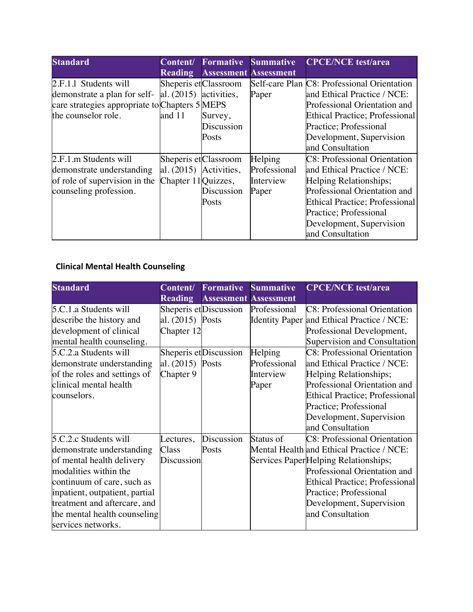| <b>Standard</b>                                | Content/                 | <b>Formative</b>      | <b>Summative</b>             | <b>CPCE/NCE</b> test/area                   |
|------------------------------------------------|--------------------------|-----------------------|------------------------------|---------------------------------------------|
|                                                | <b>Reading</b>           |                       | <b>Assessment Assessment</b> |                                             |
| 2.F.1.1 Students will                          |                          | Sheperis et Classroom |                              | Self-care Plan C8: Professional Orientation |
| demonstrate a plan for self-                   | al. $(2015)$ activities, |                       | Paper                        | and Ethical Practice / NCE:                 |
| care strategies appropriate to Chapters 5 MEPS |                          |                       |                              | Professional Orientation and                |
| the counselor role.                            | and 11                   | Survey,               |                              | Ethical Practice; Professional              |
|                                                |                          | Discussion            |                              | Practice; Professional                      |
|                                                |                          | Posts                 |                              | Development, Supervision                    |
|                                                |                          |                       |                              | and Consultation                            |
| 2.F.1.m Students will                          |                          | Sheperis et Classroom | Helping                      | <b>C8</b> : Professional Orientation        |
| demonstrate understanding                      | al. $(2015)$ Activities, |                       | Professional                 | and Ethical Practice / NCE:                 |
| of role of supervision in the                  | Chapter 11Quizzes,       |                       | Interview                    | Helping Relationships;                      |
| counseling profession.                         |                          | Discussion            | Paper                        | Professional Orientation and                |
|                                                |                          | Posts                 |                              | Ethical Practice; Professional              |
|                                                |                          |                       |                              | Practice; Professional                      |
|                                                |                          |                       |                              | Development, Supervision                    |
|                                                |                          |                       |                              | and Consultation                            |

# **Clinical Mental Health Counseling**

| <b>Standard</b>                | Content/          | <b>Formative</b>             | <b>Summative</b> | <b>CPCE/NCE</b> test/area                  |
|--------------------------------|-------------------|------------------------------|------------------|--------------------------------------------|
|                                | <b>Reading</b>    | <b>Assessment Assessment</b> |                  |                                            |
| 5.C.1.a Students will          |                   | Sheperis et Discussion       | Professional     | <b>C8: Professional Orientation</b>        |
| describe the history and       | al. (2015) Posts  |                              |                  | Identity Paper and Ethical Practice / NCE: |
| development of clinical        | Chapter 12        |                              |                  | Professional Development,                  |
| mental health counseling.      |                   |                              |                  | Supervision and Consultation               |
| 5.C.2.a Students will          |                   | Sheperis et Discussion       | Helping          | <b>C8: Professional Orientation</b>        |
| demonstrate understanding      | al. (2015) Posts  |                              | Professional     | and Ethical Practice / NCE:                |
| of the roles and settings of   | Chapter 9         |                              | Interview        | Helping Relationships;                     |
| clinical mental health         |                   |                              | Paper            | Professional Orientation and               |
| counselors.                    |                   |                              |                  | <b>Ethical Practice; Professional</b>      |
|                                |                   |                              |                  | Practice; Professional                     |
|                                |                   |                              |                  | Development, Supervision                   |
|                                |                   |                              |                  | and Consultation                           |
| 5.C.2.c Students will          | Lectures,         | Discussion                   | Status of        | <b>C8</b> : Professional Orientation       |
| demonstrate understanding      | Class             | Posts                        |                  | Mental Health and Ethical Practice / NCE:  |
| of mental health delivery      | <b>Discussion</b> |                              |                  | Services Paper Helping Relationships;      |
| modalities within the          |                   |                              |                  | Professional Orientation and               |
| continuum of care, such as     |                   |                              |                  | <b>Ethical Practice</b> ; Professional     |
| inpatient, outpatient, partial |                   |                              |                  | Practice; Professional                     |
| treatment and aftercare, and   |                   |                              |                  | Development, Supervision                   |
| the mental health counseling   |                   |                              |                  | and Consultation                           |
| services networks.             |                   |                              |                  |                                            |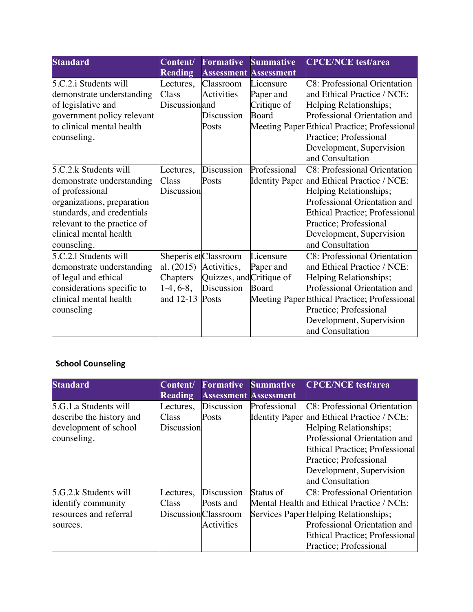| <b>Standard</b>             | Content/       | <b>Formative</b>         | <b>Summative</b>  | <b>CPCE/NCE</b> test/area                    |
|-----------------------------|----------------|--------------------------|-------------------|----------------------------------------------|
|                             | <b>Reading</b> | <b>Assessment</b>        | <b>Assessment</b> |                                              |
| 5.C.2.i Students will       | Lectures,      | Classroom                | Licensure         | <b>C8: Professional Orientation</b>          |
| demonstrate understanding   | Class          | Activities               | Paper and         | and Ethical Practice / NCE:                  |
| of legislative and          | Discussionand  |                          | Critique of       | Helping Relationships;                       |
| government policy relevant  |                | Discussion               | Board             | Professional Orientation and                 |
| to clinical mental health   |                | Posts                    |                   | Meeting Paper Ethical Practice; Professional |
| counseling.                 |                |                          |                   | Practice; Professional                       |
|                             |                |                          |                   | Development, Supervision                     |
|                             |                |                          |                   | and Consultation                             |
| 5.C.2.k Students will       | Lectures,      | Discussion               | Professional      | <b>C8: Professional Orientation</b>          |
| demonstrate understanding   | Class          | Posts                    |                   | Identity Paper and Ethical Practice / NCE:   |
| of professional             | Discussion     |                          |                   | Helping Relationships;                       |
| organizations, preparation  |                |                          |                   | Professional Orientation and                 |
| standards, and credentials  |                |                          |                   | <b>Ethical Practice; Professional</b>        |
| relevant to the practice of |                |                          |                   | Practice; Professional                       |
| clinical mental health      |                |                          |                   | Development, Supervision                     |
| counseling.                 |                |                          |                   | and Consultation                             |
| 5.C.2.1 Students will       |                | Sheperis et Classroom    | Licensure         | <b>C8: Professional Orientation</b>          |
| demonstrate understanding   | al. $(2015)$   | Activities,              | Paper and         | and Ethical Practice / NCE:                  |
| of legal and ethical        | Chapters       | Quizzes, and Critique of |                   | Helping Relationships;                       |
| considerations specific to  | $1-4, 6-8,$    | Discussion               | Board             | Professional Orientation and                 |
| clinical mental health      | and 12-13      | Posts                    |                   | Meeting Paper Ethical Practice; Professional |
| counseling                  |                |                          |                   | Practice; Professional                       |
|                             |                |                          |                   | Development, Supervision                     |
|                             |                |                          |                   | and Consultation                             |

# **School Counseling**

| <b>Standard</b>          | Content/            | <b>Formative</b> | <b>Summative</b>             | <b>CPCE/NCE</b> test/area                  |
|--------------------------|---------------------|------------------|------------------------------|--------------------------------------------|
|                          | <b>Reading</b>      |                  | <b>Assessment Assessment</b> |                                            |
| 5.G.1.a Students will    | Lectures,           | Discussion       | Professional                 | C8: Professional Orientation               |
| describe the history and | Class               | Posts            |                              | Identity Paper and Ethical Practice / NCE: |
| development of school    | <b>Discussion</b>   |                  |                              | Helping Relationships;                     |
| counseling.              |                     |                  |                              | Professional Orientation and               |
|                          |                     |                  |                              | <b>Ethical Practice</b> ; Professional     |
|                          |                     |                  |                              | Practice; Professional                     |
|                          |                     |                  |                              | Development, Supervision                   |
|                          |                     |                  |                              | and Consultation                           |
| 5.G.2.k Students will    | Lectures,           | Discussion       | Status of                    | C8: Professional Orientation               |
| identify community       | Class               | Posts and        |                              | Mental Health and Ethical Practice / NCE:  |
| resources and referral   | DiscussionClassroom |                  |                              | Services Paper Helping Relationships;      |
| sources.                 |                     | Activities       |                              | Professional Orientation and               |
|                          |                     |                  |                              | <b>Ethical Practice</b> ; Professional     |
|                          |                     |                  |                              | Practice; Professional                     |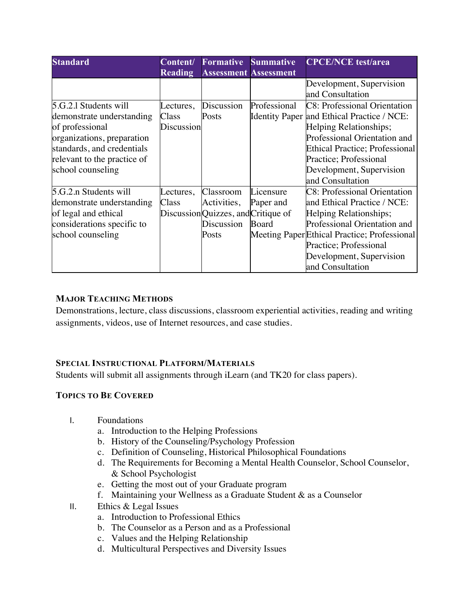| <b>Standard</b>             | Content/<br><b>Reading</b> | <b>Formative</b><br><b>Assessment Assessment</b> | <b>Summative</b> | <b>CPCE/NCE</b> test/area                    |
|-----------------------------|----------------------------|--------------------------------------------------|------------------|----------------------------------------------|
|                             |                            |                                                  |                  | Development, Supervision                     |
|                             |                            |                                                  |                  | and Consultation                             |
| 5.G.2.1 Students will       | ectures,                   | Discussion                                       | Professional     | <b>C8: Professional Orientation</b>          |
| demonstrate understanding   | Class                      | Posts                                            |                  | Identity Paper and Ethical Practice / NCE:   |
| of professional             | Discussion                 |                                                  |                  | Helping Relationships;                       |
| organizations, preparation  |                            |                                                  |                  | Professional Orientation and                 |
| standards, and credentials  |                            |                                                  |                  | <b>Ethical Practice</b> ; Professional       |
| relevant to the practice of |                            |                                                  |                  | Practice; Professional                       |
| school counseling           |                            |                                                  |                  | Development, Supervision                     |
|                             |                            |                                                  |                  | and Consultation                             |
| 5.G.2.n Students will       | ectures,                   | Classroom                                        | Licensure        | <b>C8: Professional Orientation</b>          |
| demonstrate understanding   | Class                      | Activities,                                      | Paper and        | and Ethical Practice / NCE:                  |
| of legal and ethical        |                            | Discussion Quizzes, and Critique of              |                  | Helping Relationships;                       |
| considerations specific to  |                            | Discussion                                       | Board            | Professional Orientation and                 |
| school counseling           |                            | Posts                                            |                  | Meeting Paper Ethical Practice; Professional |
|                             |                            |                                                  |                  | Practice; Professional                       |
|                             |                            |                                                  |                  | Development, Supervision                     |
|                             |                            |                                                  |                  | and Consultation                             |

# **MAJOR TEACHING METHODS**

Demonstrations, lecture, class discussions, classroom experiential activities, reading and writing assignments, videos, use of Internet resources, and case studies.

## **SPECIAL INSTRUCTIONAL PLATFORM/MATERIALS**

Students will submit all assignments through iLearn (and TK20 for class papers).

## **TOPICS TO BE COVERED**

- I. Foundations
	- a. Introduction to the Helping Professions
	- b. History of the Counseling/Psychology Profession
	- c. Definition of Counseling, Historical Philosophical Foundations
	- d. The Requirements for Becoming a Mental Health Counselor, School Counselor, & School Psychologist
	- e. Getting the most out of your Graduate program
	- f. Maintaining your Wellness as a Graduate Student & as a Counselor
- II. Ethics  $&$  Legal Issues
	- a. Introduction to Professional Ethics
	- b. The Counselor as a Person and as a Professional
	- c. Values and the Helping Relationship
	- d. Multicultural Perspectives and Diversity Issues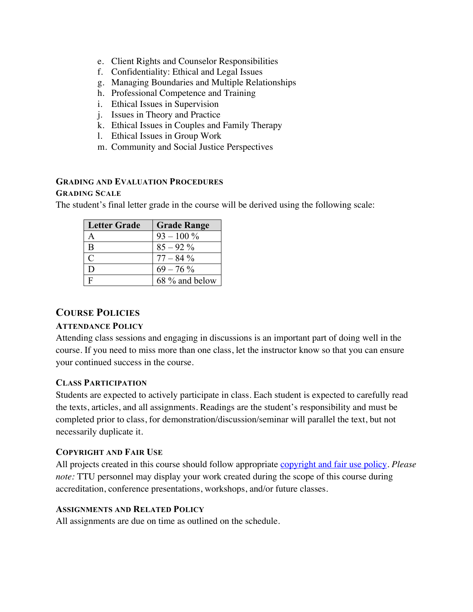- e. Client Rights and Counselor Responsibilities
- f. Confidentiality: Ethical and Legal Issues
- g. Managing Boundaries and Multiple Relationships
- h. Professional Competence and Training
- i. Ethical Issues in Supervision
- j. Issues in Theory and Practice
- k. Ethical Issues in Couples and Family Therapy
- l. Ethical Issues in Group Work
- m. Community and Social Justice Perspectives

#### **GRADING AND EVALUATION PROCEDURES**

#### **GRADING SCALE**

The student's final letter grade in the course will be derived using the following scale:

| <b>Letter Grade</b> | <b>Grade Range</b> |
|---------------------|--------------------|
| А                   | $93 - 100\%$       |
| B                   | $85 - 92\%$        |
| C                   | $77 - 84\%$        |
| D                   | $69 - 76\%$        |
| F                   | 68 % and below     |

## **COURSE POLICIES**

#### **ATTENDANCE POLICY**

Attending class sessions and engaging in discussions is an important part of doing well in the course. If you need to miss more than one class, let the instructor know so that you can ensure your continued success in the course.

#### **CLASS PARTICIPATION**

Students are expected to actively participate in class. Each student is expected to carefully read the texts, articles, and all assignments. Readings are the student's responsibility and must be completed prior to class, for demonstration/discussion/seminar will parallel the text, but not necessarily duplicate it.

#### **COPYRIGHT AND FAIR USE**

All projects created in this course should follow appropriate copyright and fair use policy. *Please note:* TTU personnel may display your work created during the scope of this course during accreditation, conference presentations, workshops, and/or future classes.

#### **ASSIGNMENTS AND RELATED POLICY**

All assignments are due on time as outlined on the schedule.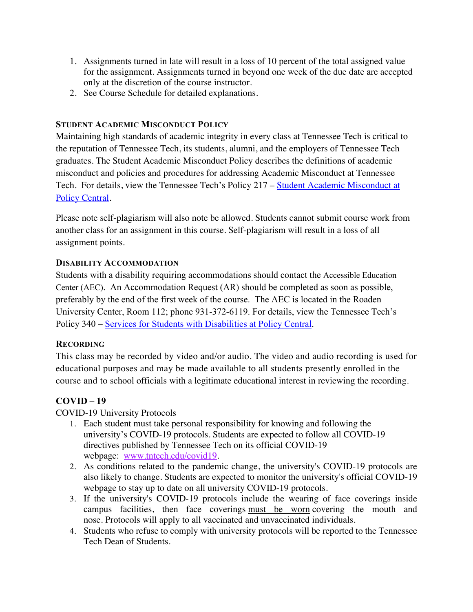- 1. Assignments turned in late will result in a loss of 10 percent of the total assigned value for the assignment. Assignments turned in beyond one week of the due date are accepted only at the discretion of the course instructor.
- 2. See Course Schedule for detailed explanations.

## **STUDENT ACADEMIC MISCONDUCT POLICY**

Maintaining high standards of academic integrity in every class at Tennessee Tech is critical to the reputation of Tennessee Tech, its students, alumni, and the employers of Tennessee Tech graduates. The Student Academic Misconduct Policy describes the definitions of academic misconduct and policies and procedures for addressing Academic Misconduct at Tennessee Tech. For details, view the Tennessee Tech's Policy 217 – Student Academic Misconduct at Policy Central.

Please note self-plagiarism will also note be allowed. Students cannot submit course work from another class for an assignment in this course. Self-plagiarism will result in a loss of all assignment points.

## **DISABILITY ACCOMMODATION**

Students with a disability requiring accommodations should contact the Accessible Education Center (AEC). An Accommodation Request (AR) should be completed as soon as possible, preferably by the end of the first week of the course. The AEC is located in the Roaden University Center, Room 112; phone 931-372-6119. For details, view the Tennessee Tech's Policy 340 – Services for Students with Disabilities at Policy Central.

# **RECORDING**

This class may be recorded by video and/or audio. The video and audio recording is used for educational purposes and may be made available to all students presently enrolled in the course and to school officials with a legitimate educational interest in reviewing the recording.

# **COVID – 19**

COVID-19 University Protocols

- 1. Each student must take personal responsibility for knowing and following the university's COVID-19 protocols. Students are expected to follow all COVID-19 directives published by Tennessee Tech on its official COVID-19 webpage: www.tntech.edu/covid19.
- 2. As conditions related to the pandemic change, the university's COVID-19 protocols are also likely to change. Students are expected to monitor the university's official COVID-19 webpage to stay up to date on all university COVID-19 protocols.
- 3. If the university's COVID-19 protocols include the wearing of face coverings inside campus facilities, then face coverings must be worn covering the mouth and nose. Protocols will apply to all vaccinated and unvaccinated individuals.
- 4. Students who refuse to comply with university protocols will be reported to the Tennessee Tech Dean of Students.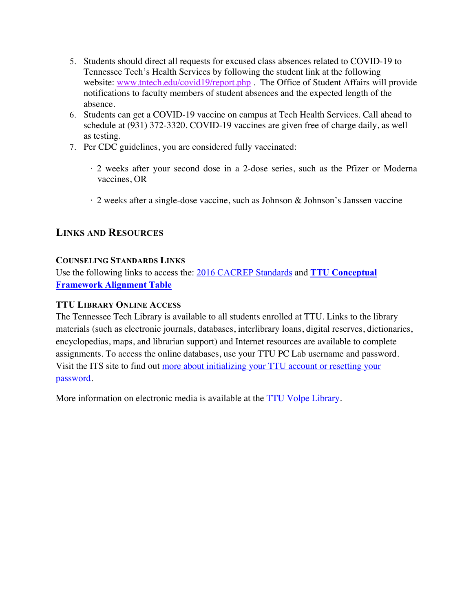- 5. Students should direct all requests for excused class absences related to COVID-19 to Tennessee Tech's Health Services by following the student link at the following website: www.tntech.edu/covid19/report.php. The Office of Student Affairs will provide notifications to faculty members of student absences and the expected length of the absence.
- 6. Students can get a COVID-19 vaccine on campus at Tech Health Services. Call ahead to schedule at (931) 372-3320. COVID-19 vaccines are given free of charge daily, as well as testing.
- 7. Per CDC guidelines, you are considered fully vaccinated:
	- · 2 weeks after your second dose in a 2-dose series, such as the Pfizer or Moderna vaccines, OR
	- · 2 weeks after a single-dose vaccine, such as Johnson & Johnson's Janssen vaccine

# **LINKS AND RESOURCES**

# **COUNSELING STANDARDS LINKS**

Use the following links to access the: 2016 CACREP Standards and **TTU Conceptual Framework Alignment Table**

# **TTU LIBRARY ONLINE ACCESS**

The Tennessee Tech Library is available to all students enrolled at TTU. Links to the library materials (such as electronic journals, databases, interlibrary loans, digital reserves, dictionaries, encyclopedias, maps, and librarian support) and Internet resources are available to complete assignments. To access the online databases, use your TTU PC Lab username and password. Visit the ITS site to find out more about initializing your TTU account or resetting your password.

More information on electronic media is available at the **TTU Volpe Library**.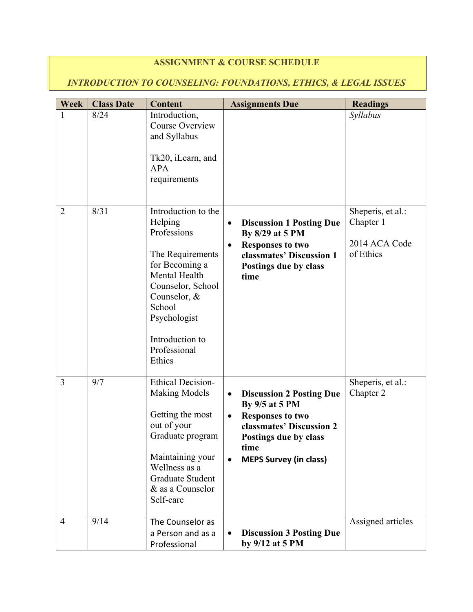# **ASSIGNMENT & COURSE SCHEDULE**

# *INTRODUCTION TO COUNSELING: FOUNDATIONS, ETHICS, & LEGAL ISSUES*

| <b>Week</b>    | <b>Class Date</b> | <b>Content</b>                                                                                                                                                                                                   | <b>Assignments Due</b>                                                                                                                                                                               | <b>Readings</b>                                              |
|----------------|-------------------|------------------------------------------------------------------------------------------------------------------------------------------------------------------------------------------------------------------|------------------------------------------------------------------------------------------------------------------------------------------------------------------------------------------------------|--------------------------------------------------------------|
| $\mathbf{1}$   | 8/24              | Introduction,<br>Course Overview<br>and Syllabus<br>Tk20, iLearn, and<br><b>APA</b><br>requirements                                                                                                              |                                                                                                                                                                                                      | Syllabus                                                     |
| $\overline{2}$ | 8/31              | Introduction to the<br>Helping<br>Professions<br>The Requirements<br>for Becoming a<br>Mental Health<br>Counselor, School<br>Counselor, &<br>School<br>Psychologist<br>Introduction to<br>Professional<br>Ethics | <b>Discussion 1 Posting Due</b><br>By 8/29 at 5 PM<br><b>Responses to two</b><br>classmates' Discussion 1<br>Postings due by class<br>time                                                           | Sheperis, et al.:<br>Chapter 1<br>2014 ACA Code<br>of Ethics |
| 3              | 9/7               | <b>Ethical Decision-</b><br><b>Making Models</b><br>Getting the most<br>out of your<br>Graduate program<br>Maintaining your<br>Wellness as a<br>Graduate Student<br>& as a Counselor<br>Self-care                | <b>Discussion 2 Posting Due</b><br>$\bullet$<br>By 9/5 at 5 PM<br><b>Responses to two</b><br>$\bullet$<br>classmates' Discussion 2<br>Postings due by class<br>time<br><b>MEPS Survey (in class)</b> | Sheperis, et al.:<br>Chapter 2                               |
| $\overline{4}$ | 9/14              | The Counselor as<br>a Person and as a<br>Professional                                                                                                                                                            | <b>Discussion 3 Posting Due</b><br>by 9/12 at 5 PM                                                                                                                                                   | Assigned articles                                            |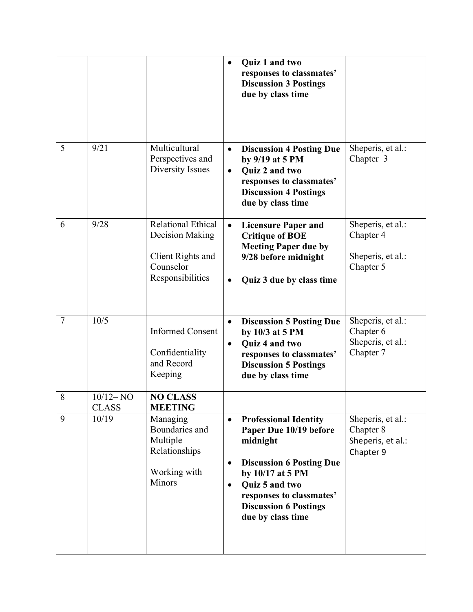|        |                              |                                                                                                    | $\bullet$              | Quiz 1 and two<br>responses to classmates'<br><b>Discussion 3 Postings</b><br>due by class time                                                                                                                              |                                                                  |
|--------|------------------------------|----------------------------------------------------------------------------------------------------|------------------------|------------------------------------------------------------------------------------------------------------------------------------------------------------------------------------------------------------------------------|------------------------------------------------------------------|
| 5      | 9/21                         | Multicultural<br>Perspectives and<br>Diversity Issues                                              | $\bullet$<br>$\bullet$ | <b>Discussion 4 Posting Due</b><br>by 9/19 at 5 PM<br>Quiz 2 and two<br>responses to classmates'<br><b>Discussion 4 Postings</b><br>due by class time                                                                        | Sheperis, et al.:<br>Chapter 3                                   |
| 6      | 9/28                         | <b>Relational Ethical</b><br>Decision Making<br>Client Rights and<br>Counselor<br>Responsibilities | $\bullet$              | <b>Licensure Paper and</b><br><b>Critique of BOE</b><br><b>Meeting Paper due by</b><br>9/28 before midnight<br>Quiz 3 due by class time                                                                                      | Sheperis, et al.:<br>Chapter 4<br>Sheperis, et al.:<br>Chapter 5 |
| $\tau$ | 10/5                         | <b>Informed Consent</b><br>Confidentiality<br>and Record<br>Keeping                                | $\bullet$<br>$\bullet$ | <b>Discussion 5 Posting Due</b><br>by 10/3 at 5 PM<br>Quiz 4 and two<br>responses to classmates'<br><b>Discussion 5 Postings</b><br>due by class time                                                                        | Sheperis, et al.:<br>Chapter 6<br>Sheperis, et al.:<br>Chapter 7 |
| 8      | $10/12 - NO$<br><b>CLASS</b> | <b>NO CLASS</b><br><b>MEETING</b>                                                                  |                        |                                                                                                                                                                                                                              |                                                                  |
| 9      | 10/19                        | Managing<br>Boundaries and<br>Multiple<br>Relationships<br>Working with<br>Minors                  | $\bullet$<br>$\bullet$ | <b>Professional Identity</b><br>Paper Due 10/19 before<br>midnight<br><b>Discussion 6 Posting Due</b><br>by 10/17 at 5 PM<br>Quiz 5 and two<br>responses to classmates'<br><b>Discussion 6 Postings</b><br>due by class time | Sheperis, et al.:<br>Chapter 8<br>Sheperis, et al.:<br>Chapter 9 |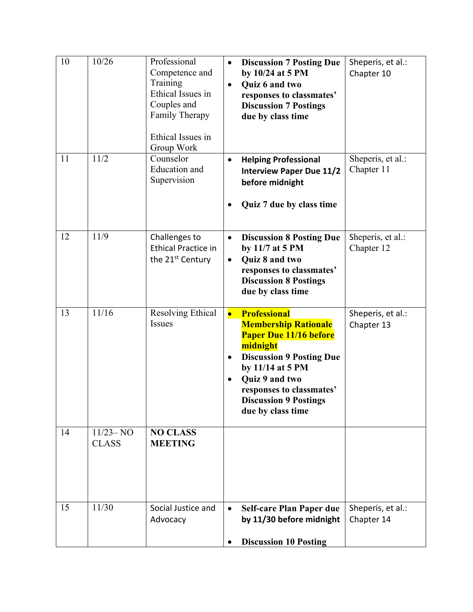| 10 | 10/26                        | Professional<br>Competence and<br>Training<br>Ethical Issues in<br>Couples and<br>Family Therapy<br>Ethical Issues in<br>Group Work | $\bullet$              | <b>Discussion 7 Posting Due</b><br>by 10/24 at 5 PM<br>Quiz 6 and two<br>responses to classmates'<br><b>Discussion 7 Postings</b><br>due by class time                                                                                                    | Sheperis, et al.:<br>Chapter 10 |
|----|------------------------------|-------------------------------------------------------------------------------------------------------------------------------------|------------------------|-----------------------------------------------------------------------------------------------------------------------------------------------------------------------------------------------------------------------------------------------------------|---------------------------------|
| 11 | 11/2                         | Counselor<br><b>Education</b> and<br>Supervision                                                                                    | $\bullet$<br>٠         | <b>Helping Professional</b><br><b>Interview Paper Due 11/2</b><br>before midnight<br>Quiz 7 due by class time                                                                                                                                             | Sheperis, et al.:<br>Chapter 11 |
| 12 | 11/9                         | Challenges to<br><b>Ethical Practice in</b><br>the 21 <sup>st</sup> Century                                                         | $\bullet$<br>$\bullet$ | <b>Discussion 8 Posting Due</b><br>by 11/7 at 5 PM<br>Quiz 8 and two<br>responses to classmates'<br><b>Discussion 8 Postings</b><br>due by class time                                                                                                     | Sheperis, et al.:<br>Chapter 12 |
| 13 | 11/16                        | <b>Resolving Ethical</b><br><b>Issues</b>                                                                                           | $\bullet$              | <b>Professional</b><br><b>Membership Rationale</b><br><b>Paper Due 11/16 before</b><br>midnight<br><b>Discussion 9 Posting Due</b><br>by 11/14 at 5 PM<br>Quiz 9 and two<br>responses to classmates'<br><b>Discussion 9 Postings</b><br>due by class time | Sheperis, et al.:<br>Chapter 13 |
| 14 | $11/23 - NO$<br><b>CLASS</b> | <b>NO CLASS</b><br><b>MEETING</b>                                                                                                   |                        |                                                                                                                                                                                                                                                           |                                 |
| 15 | 11/30                        | Social Justice and<br>Advocacy                                                                                                      |                        | <b>Self-care Plan Paper due</b><br>by 11/30 before midnight<br><b>Discussion 10 Posting</b>                                                                                                                                                               | Sheperis, et al.:<br>Chapter 14 |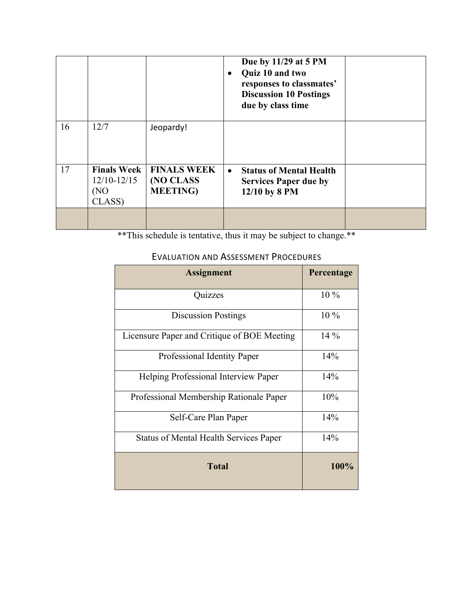|    |                                                         |                                                     |           | Due by 11/29 at 5 PM<br>Quiz 10 and two<br>responses to classmates'<br><b>Discussion 10 Postings</b><br>due by class time |  |
|----|---------------------------------------------------------|-----------------------------------------------------|-----------|---------------------------------------------------------------------------------------------------------------------------|--|
| 16 | 12/7                                                    | Jeopardy!                                           |           |                                                                                                                           |  |
| 17 | <b>Finals Week</b><br>$12/10 - 12/15$<br>(NO)<br>CLASS) | <b>FINALS WEEK</b><br>(NO CLASS<br><b>MEETING</b> ) | $\bullet$ | <b>Status of Mental Health</b><br><b>Services Paper due by</b><br>12/10 by 8 PM                                           |  |
|    |                                                         |                                                     |           |                                                                                                                           |  |

\*\*This schedule is tentative, thus it may be subject to change.\*\*

# EVALUATION AND ASSESSMENT PROCEDURES

| <b>Assignment</b>                             | Percentage |
|-----------------------------------------------|------------|
| Quizzes                                       | $10\%$     |
| <b>Discussion Postings</b>                    | $10\%$     |
| Licensure Paper and Critique of BOE Meeting   | $14\%$     |
| Professional Identity Paper                   | 14%        |
| Helping Professional Interview Paper          | 14%        |
| Professional Membership Rationale Paper       | 10%        |
| Self-Care Plan Paper                          | 14%        |
| <b>Status of Mental Health Services Paper</b> | 14%        |
| <b>Total</b>                                  | 100%       |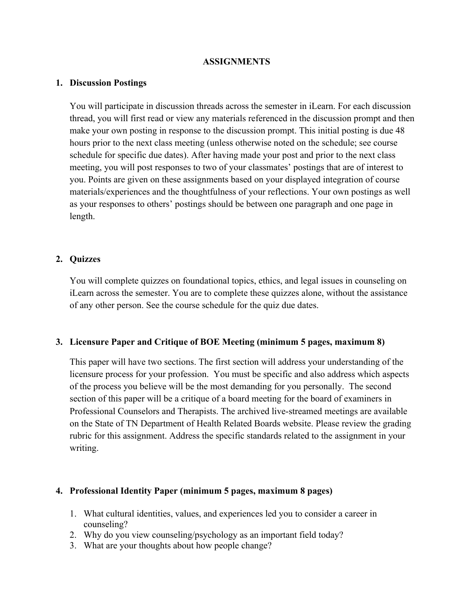#### **ASSIGNMENTS**

#### **1. Discussion Postings**

You will participate in discussion threads across the semester in iLearn. For each discussion thread, you will first read or view any materials referenced in the discussion prompt and then make your own posting in response to the discussion prompt. This initial posting is due 48 hours prior to the next class meeting (unless otherwise noted on the schedule; see course schedule for specific due dates). After having made your post and prior to the next class meeting, you will post responses to two of your classmates' postings that are of interest to you. Points are given on these assignments based on your displayed integration of course materials/experiences and the thoughtfulness of your reflections. Your own postings as well as your responses to others' postings should be between one paragraph and one page in length.

#### **2. Quizzes**

You will complete quizzes on foundational topics, ethics, and legal issues in counseling on iLearn across the semester. You are to complete these quizzes alone, without the assistance of any other person. See the course schedule for the quiz due dates.

#### **3. Licensure Paper and Critique of BOE Meeting (minimum 5 pages, maximum 8)**

This paper will have two sections. The first section will address your understanding of the licensure process for your profession. You must be specific and also address which aspects of the process you believe will be the most demanding for you personally. The second section of this paper will be a critique of a board meeting for the board of examiners in Professional Counselors and Therapists. The archived live-streamed meetings are available on the State of TN Department of Health Related Boards website. Please review the grading rubric for this assignment. Address the specific standards related to the assignment in your writing.

#### **4. Professional Identity Paper (minimum 5 pages, maximum 8 pages)**

- 1. What cultural identities, values, and experiences led you to consider a career in counseling?
- 2. Why do you view counseling/psychology as an important field today?
- 3. What are your thoughts about how people change?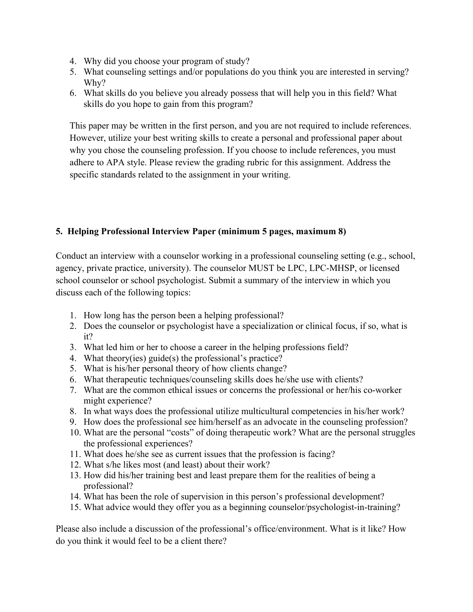- 4. Why did you choose your program of study?
- 5. What counseling settings and/or populations do you think you are interested in serving? Why?
- 6. What skills do you believe you already possess that will help you in this field? What skills do you hope to gain from this program?

This paper may be written in the first person, and you are not required to include references. However, utilize your best writing skills to create a personal and professional paper about why you chose the counseling profession. If you choose to include references, you must adhere to APA style. Please review the grading rubric for this assignment. Address the specific standards related to the assignment in your writing.

# **5. Helping Professional Interview Paper (minimum 5 pages, maximum 8)**

Conduct an interview with a counselor working in a professional counseling setting (e.g., school, agency, private practice, university). The counselor MUST be LPC, LPC-MHSP, or licensed school counselor or school psychologist. Submit a summary of the interview in which you discuss each of the following topics:

- 1. How long has the person been a helping professional?
- 2. Does the counselor or psychologist have a specialization or clinical focus, if so, what is it?
- 3. What led him or her to choose a career in the helping professions field?
- 4. What theory(ies) guide(s) the professional's practice?
- 5. What is his/her personal theory of how clients change?
- 6. What therapeutic techniques/counseling skills does he/she use with clients?
- 7. What are the common ethical issues or concerns the professional or her/his co-worker might experience?
- 8. In what ways does the professional utilize multicultural competencies in his/her work?
- 9. How does the professional see him/herself as an advocate in the counseling profession?
- 10. What are the personal "costs" of doing therapeutic work? What are the personal struggles the professional experiences?
- 11. What does he/she see as current issues that the profession is facing?
- 12. What s/he likes most (and least) about their work?
- 13. How did his/her training best and least prepare them for the realities of being a professional?
- 14. What has been the role of supervision in this person's professional development?
- 15. What advice would they offer you as a beginning counselor/psychologist-in-training?

Please also include a discussion of the professional's office/environment. What is it like? How do you think it would feel to be a client there?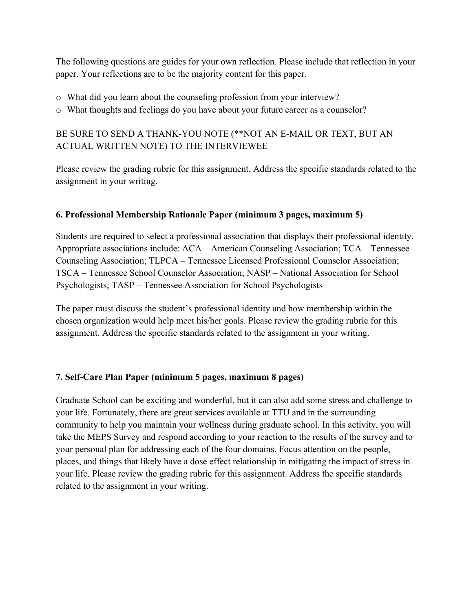The following questions are guides for your own reflection. Please include that reflection in your paper. Your reflections are to be the majority content for this paper.

- o What did you learn about the counseling profession from your interview?
- o What thoughts and feelings do you have about your future career as a counselor?

# BE SURE TO SEND A THANK-YOU NOTE (\*\*NOT AN E-MAIL OR TEXT, BUT AN ACTUAL WRITTEN NOTE) TO THE INTERVIEWEE

Please review the grading rubric for this assignment. Address the specific standards related to the assignment in your writing.

# **6. Professional Membership Rationale Paper (minimum 3 pages, maximum 5)**

Students are required to select a professional association that displays their professional identity. Appropriate associations include: ACA – American Counseling Association; TCA – Tennessee Counseling Association; TLPCA – Tennessee Licensed Professional Counselor Association; TSCA – Tennessee School Counselor Association; NASP – National Association for School Psychologists; TASP – Tennessee Association for School Psychologists

The paper must discuss the student's professional identity and how membership within the chosen organization would help meet his/her goals. Please review the grading rubric for this assignment. Address the specific standards related to the assignment in your writing.

## **7. Self-Care Plan Paper (minimum 5 pages, maximum 8 pages)**

Graduate School can be exciting and wonderful, but it can also add some stress and challenge to your life. Fortunately, there are great services available at TTU and in the surrounding community to help you maintain your wellness during graduate school. In this activity, you will take the MEPS Survey and respond according to your reaction to the results of the survey and to your personal plan for addressing each of the four domains. Focus attention on the people, places, and things that likely have a dose effect relationship in mitigating the impact of stress in your life. Please review the grading rubric for this assignment. Address the specific standards related to the assignment in your writing.